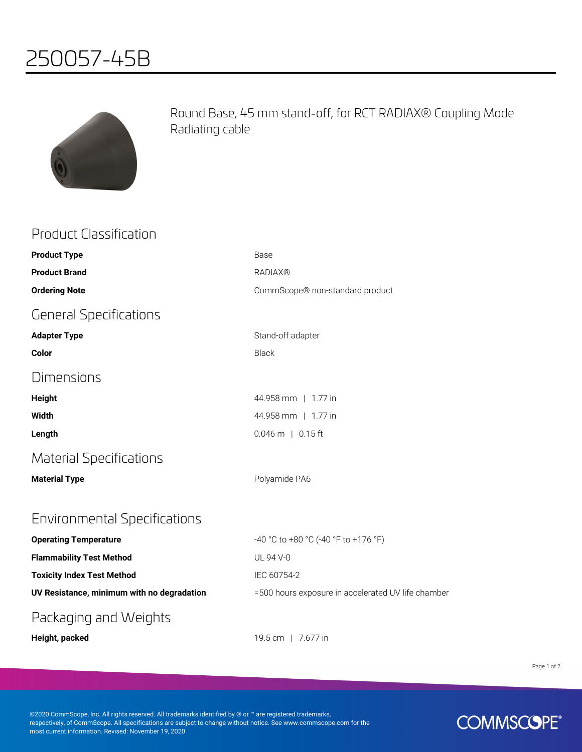## 250057-45B



Product Classification

Round Base, 45 mm stand-off, for RCT RADIAX® Coupling Mode Radiating cable

| ו וסחחרר רוחדאיוורמנומו ו                  |                                                    |
|--------------------------------------------|----------------------------------------------------|
| <b>Product Type</b>                        | Base                                               |
| <b>Product Brand</b>                       | <b>RADIAX®</b>                                     |
| <b>Ordering Note</b>                       | CommScope® non-standard product                    |
| <b>General Specifications</b>              |                                                    |
| <b>Adapter Type</b>                        | Stand-off adapter                                  |
| Color                                      | <b>Black</b>                                       |
| Dimensions                                 |                                                    |
| <b>Height</b>                              | 44.958 mm   1.77 in                                |
| Width                                      | 44.958 mm   1.77 in                                |
| Length                                     | $0.046$ m   0.15 ft                                |
| <b>Material Specifications</b>             |                                                    |
| <b>Material Type</b>                       | Polyamide PA6                                      |
| Environmental Specifications               |                                                    |
| <b>Operating Temperature</b>               | -40 °C to +80 °C (-40 °F to +176 °F)               |
| <b>Flammability Test Method</b>            | UL 94 V-0                                          |
| <b>Toxicity Index Test Method</b>          | IEC 60754-2                                        |
| UV Resistance, minimum with no degradation | =500 hours exposure in accelerated UV life chamber |
| Packaging and Weights                      |                                                    |
|                                            |                                                    |

**Height, packed** 19.5 cm | 7.677 in

Page 1 of 2

©2020 CommScope, Inc. All rights reserved. All trademarks identified by ® or ™ are registered trademarks, respectively, of CommScope. All specifications are subject to change without notice. See www.commscope.com for the most current information. Revised: November 19, 2020